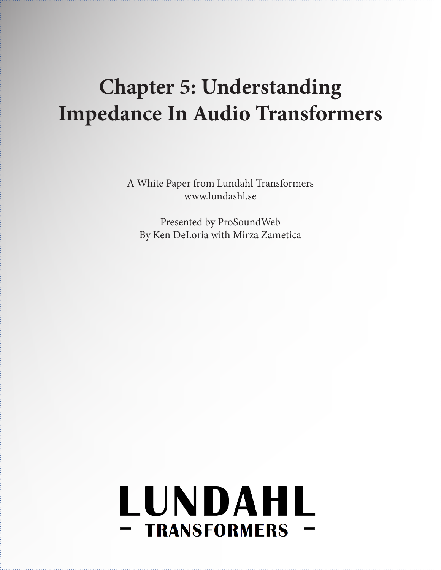## **Chapter 5: Understanding Impedance In Audio Transformers**

A White Paper from Lundahl Transformers www.lundashl.se

Presented by ProSoundWeb By Ken DeLoria with Mirza Zametica

# LUNDAHL - TRANSFORMERS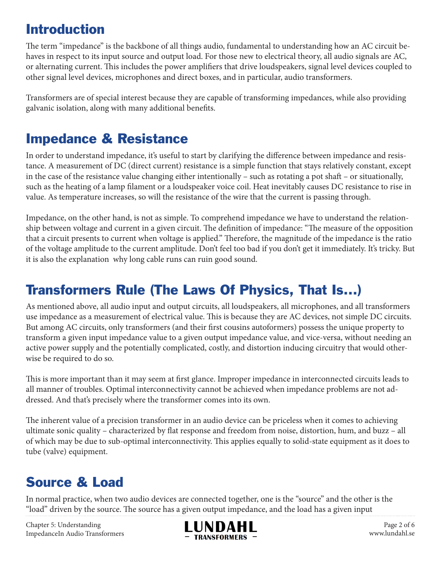#### Introduction

The term "impedance" is the backbone of all things audio, fundamental to understanding how an AC circuit behaves in respect to its input source and output load. For those new to electrical theory, all audio signals are AC, or alternating current. This includes the power amplifiers that drive loudspeakers, signal level devices coupled to other signal level devices, microphones and direct boxes, and in particular, audio transformers.

Transformers are of special interest because they are capable of transforming impedances, while also providing galvanic isolation, along with many additional benefits.

#### Impedance & Resistance

In order to understand impedance, it's useful to start by clarifying the difference between impedance and resistance. A measurement of DC (direct current) resistance is a simple function that stays relatively constant, except in the case of the resistance value changing either intentionally – such as rotating a pot shaft – or situationally, such as the heating of a lamp filament or a loudspeaker voice coil. Heat inevitably causes DC resistance to rise in value. As temperature increases, so will the resistance of the wire that the current is passing through.

Impedance, on the other hand, is not as simple. To comprehend impedance we have to understand the relationship between voltage and current in a given circuit. The definition of impedance: "The measure of the opposition that a circuit presents to current when voltage is applied." Therefore, the magnitude of the impedance is the ratio of the voltage amplitude to the current amplitude. Don't feel too bad if you don't get it immediately. It's tricky. But it is also the explanation why long cable runs can ruin good sound.

#### Transformers Rule (The Laws Of Physics, That Is...)

As mentioned above, all audio input and output circuits, all loudspeakers, all microphones, and all transformers use impedance as a measurement of electrical value. This is because they are AC devices, not simple DC circuits. But among AC circuits, only transformers (and their first cousins autoformers) possess the unique property to transform a given input impedance value to a given output impedance value, and vice-versa, without needing an active power supply and the potentially complicated, costly, and distortion inducing circuitry that would otherwise be required to do so.

This is more important than it may seem at first glance. Improper impedance in interconnected circuits leads to all manner of troubles. Optimal interconnectivity cannot be achieved when impedance problems are not addressed. And that's precisely where the transformer comes into its own.

The inherent value of a precision transformer in an audio device can be priceless when it comes to achieving ultimate sonic quality – characterized by flat response and freedom from noise, distortion, hum, and buzz – all of which may be due to sub-optimal interconnectivity. This applies equally to solid-state equipment as it does to tube (valve) equipment.

### Source & Load

In normal practice, when two audio devices are connected together, one is the "source" and the other is the "load" driven by the source. The source has a given output impedance, and the load has a given input

Chapter 5: Understanding ImpedanceIn Audio Transformers



Page 2 of 6 www.lundahl.se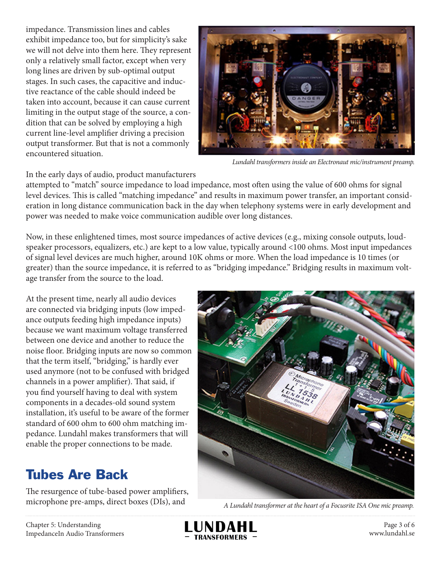impedance. Transmission lines and cables exhibit impedance too, but for simplicity's sake we will not delve into them here. They represent only a relatively small factor, except when very long lines are driven by sub-optimal output stages. In such cases, the capacitive and inductive reactance of the cable should indeed be taken into account, because it can cause current limiting in the output stage of the source, a condition that can be solved by employing a high current line-level amplifier driving a precision output transformer. But that is not a commonly encountered situation.



*Lundahl transformers inside an Electronaut mic/instrument preamp.*

In the early days of audio, product manufacturers

attempted to "match" source impedance to load impedance, most often using the value of 600 ohms for signal level devices. This is called "matching impedance" and results in maximum power transfer, an important consideration in long distance communication back in the day when telephony systems were in early development and power was needed to make voice communication audible over long distances.

Now, in these enlightened times, most source impedances of active devices (e.g., mixing console outputs, loudspeaker processors, equalizers, etc.) are kept to a low value, typically around <100 ohms. Most input impedances of signal level devices are much higher, around 10K ohms or more. When the load impedance is 10 times (or greater) than the source impedance, it is referred to as "bridging impedance." Bridging results in maximum voltage transfer from the source to the load.

At the present time, nearly all audio devices are connected via bridging inputs (low impedance outputs feeding high impedance inputs) because we want maximum voltage transferred between one device and another to reduce the noise floor. Bridging inputs are now so common that the term itself, "bridging," is hardly ever used anymore (not to be confused with bridged channels in a power amplifier). That said, if you find yourself having to deal with system components in a decades-old sound system installation, it's useful to be aware of the former standard of 600 ohm to 600 ohm matching impedance. Lundahl makes transformers that will enable the proper connections to be made.

### Tubes Are Back

The resurgence of tube-based power amplifiers, microphone pre-amps, direct boxes (DIs), and



*A Lundahl transformer at the heart of a Focusrite ISA One mic preamp.*

Chapter 5: Understanding ImpedanceIn Audio Transformers



Page 3 of 6 www.lundahl.se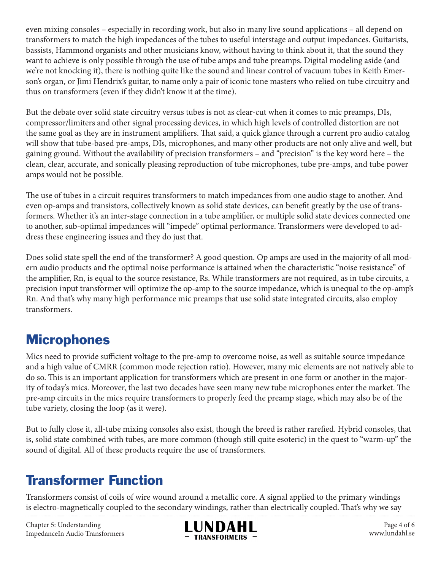even mixing consoles – especially in recording work, but also in many live sound applications – all depend on transformers to match the high impedances of the tubes to useful interstage and output impedances. Guitarists, bassists, Hammond organists and other musicians know, without having to think about it, that the sound they want to achieve is only possible through the use of tube amps and tube preamps. Digital modeling aside (and we're not knocking it), there is nothing quite like the sound and linear control of vacuum tubes in Keith Emerson's organ, or Jimi Hendrix's guitar, to name only a pair of iconic tone masters who relied on tube circuitry and thus on transformers (even if they didn't know it at the time).

But the debate over solid state circuitry versus tubes is not as clear-cut when it comes to mic preamps, DIs, compressor/limiters and other signal processing devices, in which high levels of controlled distortion are not the same goal as they are in instrument amplifiers. That said, a quick glance through a current pro audio catalog will show that tube-based pre-amps, DIs, microphones, and many other products are not only alive and well, but gaining ground. Without the availability of precision transformers – and "precision" is the key word here – the clean, clear, accurate, and sonically pleasing reproduction of tube microphones, tube pre-amps, and tube power amps would not be possible.

The use of tubes in a circuit requires transformers to match impedances from one audio stage to another. And even op-amps and transistors, collectively known as solid state devices, can benefit greatly by the use of transformers. Whether it's an inter-stage connection in a tube amplifier, or multiple solid state devices connected one to another, sub-optimal impedances will "impede" optimal performance. Transformers were developed to address these engineering issues and they do just that.

Does solid state spell the end of the transformer? A good question. Op amps are used in the majority of all modern audio products and the optimal noise performance is attained when the characteristic "noise resistance" of the amplifier, Rn, is equal to the source resistance, Rs. While transformers are not required, as in tube circuits, a precision input transformer will optimize the op-amp to the source impedance, which is unequal to the op-amp's Rn. And that's why many high performance mic preamps that use solid state integrated circuits, also employ transformers.

#### **Microphones**

Mics need to provide sufficient voltage to the pre-amp to overcome noise, as well as suitable source impedance and a high value of CMRR (common mode rejection ratio). However, many mic elements are not natively able to do so. This is an important application for transformers which are present in one form or another in the majority of today's mics. Moreover, the last two decades have seen many new tube microphones enter the market. The pre-amp circuits in the mics require transformers to properly feed the preamp stage, which may also be of the tube variety, closing the loop (as it were).

But to fully close it, all-tube mixing consoles also exist, though the breed is rather rarefied. Hybrid consoles, that is, solid state combined with tubes, are more common (though still quite esoteric) in the quest to "warm-up" the sound of digital. All of these products require the use of transformers.

#### Transformer Function

Transformers consist of coils of wire wound around a metallic core. A signal applied to the primary windings is electro-magnetically coupled to the secondary windings, rather than electrically coupled. That's why we say

Chapter 5: Understanding ImpedanceIn Audio Transformers



Page 4 of 6 www.lundahl.se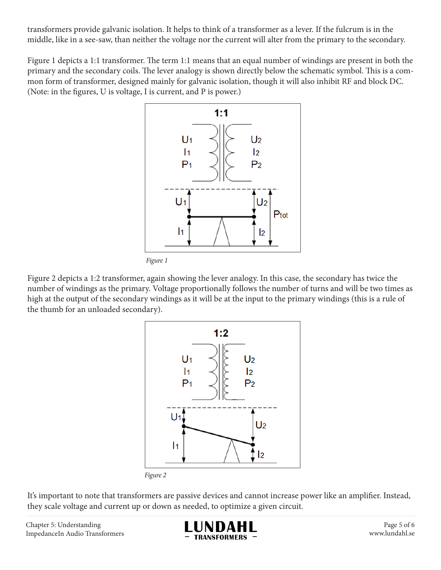transformers provide galvanic isolation. It helps to think of a transformer as a lever. If the fulcrum is in the middle, like in a see-saw, than neither the voltage nor the current will alter from the primary to the secondary.

Figure 1 depicts a 1:1 transformer. The term 1:1 means that an equal number of windings are present in both the primary and the secondary coils. The lever analogy is shown directly below the schematic symbol. This is a common form of transformer, designed mainly for galvanic isolation, though it will also inhibit RF and block DC. (Note: in the figures, U is voltage, I is current, and P is power.)



Figure 2 depicts a 1:2 transformer, again showing the lever analogy. In this case, the secondary has twice the number of windings as the primary. Voltage proportionally follows the number of turns and will be two times as high at the output of the secondary windings as it will be at the input to the primary windings (this is a rule of the thumb for an unloaded secondary).



It's important to note that transformers are passive devices and cannot increase power like an amplifier. Instead, they scale voltage and current up or down as needed, to optimize a given circuit.